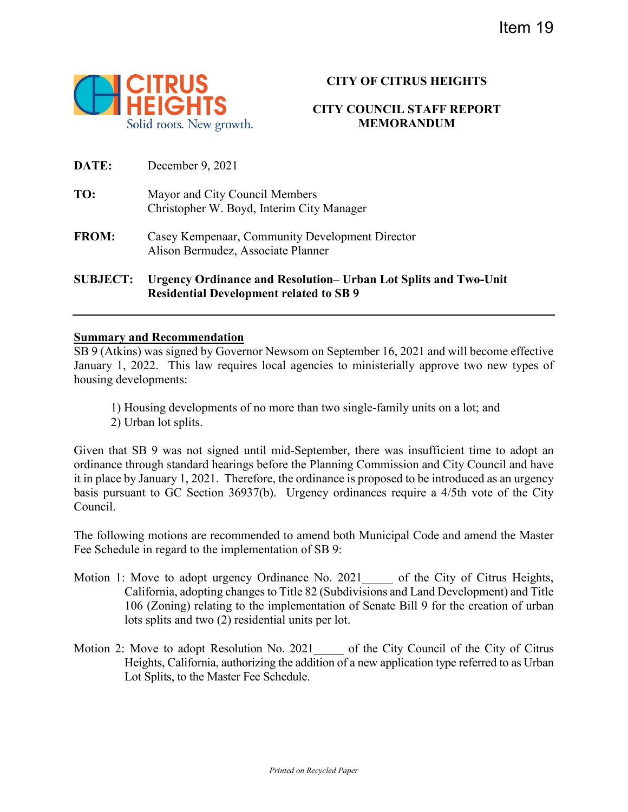

# **CITY OF CITRUS HEIGHTS**

## **CITY COUNCIL STAFF REPORT MEMORANDUM**

| <b>SUBJECT:</b> | <b>Urgency Ordinance and Resolution– Urban Lot Splits and Two-Unit</b><br><b>Residential Development related to SB 9</b> |
|-----------------|--------------------------------------------------------------------------------------------------------------------------|
| <b>FROM:</b>    | Casey Kempenaar, Community Development Director<br>Alison Bermudez, Associate Planner                                    |
| TO:             | Mayor and City Council Members<br>Christopher W. Boyd, Interim City Manager                                              |
| <b>DATE:</b>    | December 9, 2021                                                                                                         |

## **Summary and Recommendation**

SB 9 (Atkins) was signed by Governor Newsom on September 16, 2021 and will become effective January 1, 2022. This law requires local agencies to ministerially approve two new types of housing developments:

1) Housing developments of no more than two single-family units on a lot; and 2) Urban lot splits.

Given that SB 9 was not signed until mid-September, there was insufficient time to adopt an ordinance through standard hearings before the Planning Commission and City Council and have it in place by January 1, 2021. Therefore, the ordinance is proposed to be introduced as an urgency basis pursuant to GC Section 36937(b). Urgency ordinances require a 4/5th vote of the City Council.

The following motions are recommended to amend both Municipal Code and amend the Master Fee Schedule in regard to the implementation of SB 9:

- Motion 1: Move to adopt urgency Ordinance No. 2021 of the City of Citrus Heights, California, adopting changes to Title 82 (Subdivisions and Land Development) and Title 106 (Zoning) relating to the implementation of Senate Bill 9 for the creation of urban lots splits and two (2) residential units per lot.
- Motion 2: Move to adopt Resolution No. 2021 of the City Council of the City of Citrus Heights, California, authorizing the addition of a new application type referred to as Urban Lot Splits, to the Master Fee Schedule.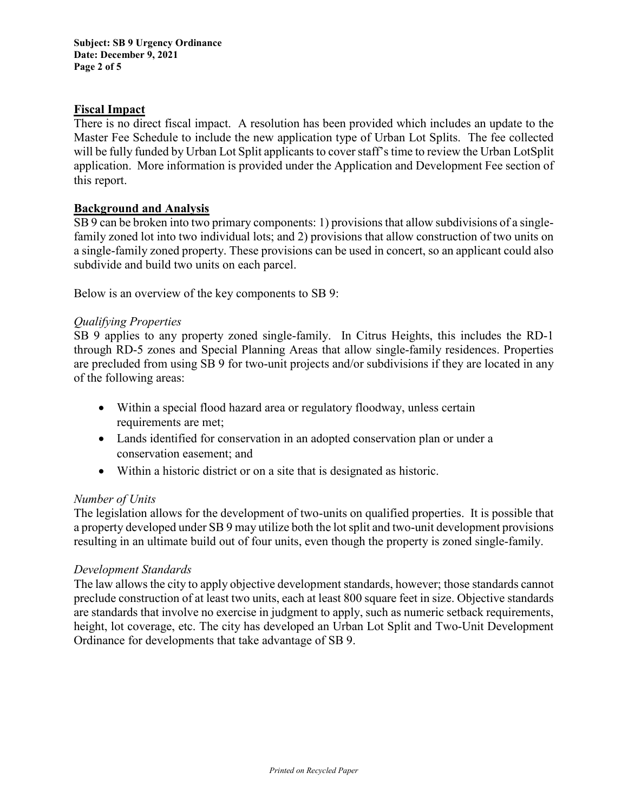**Subject: SB 9 Urgency Ordinance Date: December 9, 2021 Page 2 of 5**

### **Fiscal Impact**

There is no direct fiscal impact. A resolution has been provided which includes an update to the Master Fee Schedule to include the new application type of Urban Lot Splits. The fee collected will be fully funded by Urban Lot Split applicants to cover staff's time to review the Urban LotSplit application. More information is provided under the Application and Development Fee section of this report.

### **Background and Analysis**

SB 9 can be broken into two primary components: 1) provisions that allow subdivisions of a singlefamily zoned lot into two individual lots; and 2) provisions that allow construction of two units on a single-family zoned property. These provisions can be used in concert, so an applicant could also subdivide and build two units on each parcel.

Below is an overview of the key components to SB 9:

## *Qualifying Properties*

SB 9 applies to any property zoned single-family. In Citrus Heights, this includes the RD-1 through RD-5 zones and Special Planning Areas that allow single-family residences. Properties are precluded from using SB 9 for two-unit projects and/or subdivisions if they are located in any of the following areas:

- Within a special flood hazard area or regulatory floodway, unless certain requirements are met;
- Lands identified for conservation in an adopted conservation plan or under a conservation easement; and
- Within a historic district or on a site that is designated as historic.

### *Number of Units*

The legislation allows for the development of two-units on qualified properties. It is possible that a property developed under SB 9 may utilize both the lot split and two-unit development provisions resulting in an ultimate build out of four units, even though the property is zoned single-family.

### *Development Standards*

The law allows the city to apply objective development standards, however; those standards cannot preclude construction of at least two units, each at least 800 square feet in size. Objective standards are standards that involve no exercise in judgment to apply, such as numeric setback requirements, height, lot coverage, etc. The city has developed an Urban Lot Split and Two-Unit Development Ordinance for developments that take advantage of SB 9.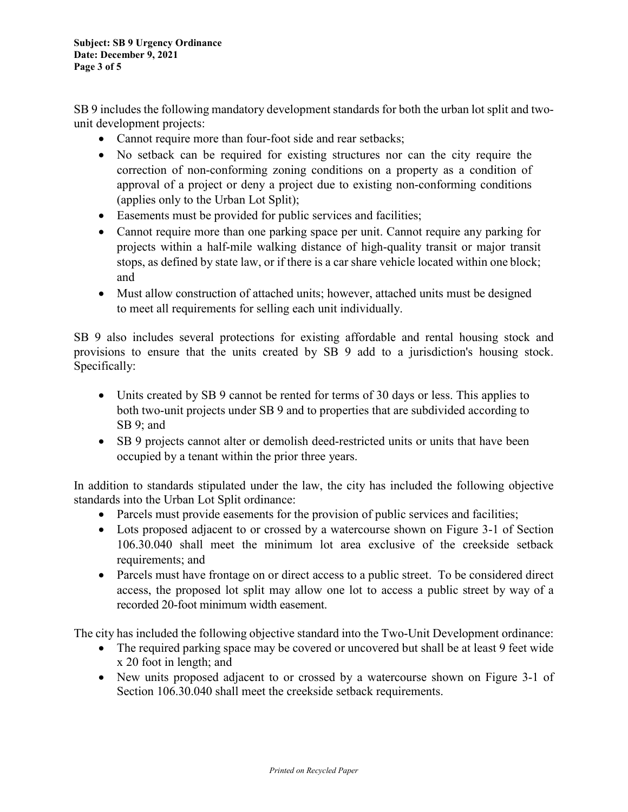SB 9 includes the following mandatory development standards for both the urban lot split and twounit development projects:

- Cannot require more than four-foot side and rear setbacks;
- No setback can be required for existing structures nor can the city require the correction of non-conforming zoning conditions on a property as a condition of approval of a project or deny a project due to existing non-conforming conditions (applies only to the Urban Lot Split);
- Easements must be provided for public services and facilities;
- Cannot require more than one parking space per unit. Cannot require any parking for projects within a half-mile walking distance of high-quality transit or major transit stops, as defined by state law, or if there is a car share vehicle located within one block; and
- Must allow construction of attached units; however, attached units must be designed to meet all requirements for selling each unit individually.

SB 9 also includes several protections for existing affordable and rental housing stock and provisions to ensure that the units created by SB 9 add to a jurisdiction's housing stock. Specifically:

- Units created by SB 9 cannot be rented for terms of 30 days or less. This applies to both two-unit projects under SB 9 and to properties that are subdivided according to SB 9; and
- SB 9 projects cannot alter or demolish deed-restricted units or units that have been occupied by a tenant within the prior three years.

In addition to standards stipulated under the law, the city has included the following objective standards into the Urban Lot Split ordinance:

- Parcels must provide easements for the provision of public services and facilities;
- Lots proposed adjacent to or crossed by a watercourse shown on Figure 3-1 of Section 106.30.040 shall meet the minimum lot area exclusive of the creekside setback requirements; and
- Parcels must have frontage on or direct access to a public street. To be considered direct access, the proposed lot split may allow one lot to access a public street by way of a recorded 20-foot minimum width easement.

The city has included the following objective standard into the Two-Unit Development ordinance:

- The required parking space may be covered or uncovered but shall be at least 9 feet wide x 20 foot in length; and
- New units proposed adjacent to or crossed by a watercourse shown on Figure 3-1 of Section 106.30.040 shall meet the creekside setback requirements.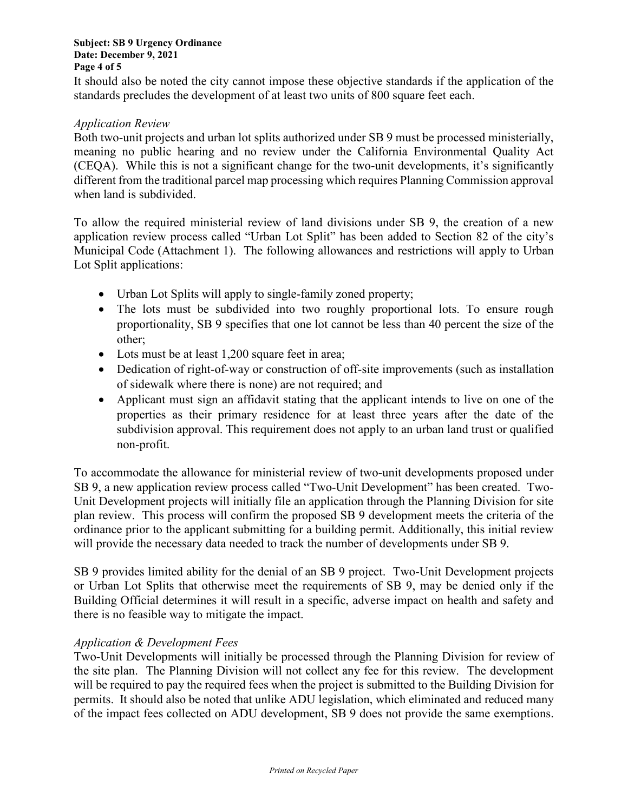It should also be noted the city cannot impose these objective standards if the application of the standards precludes the development of at least two units of 800 square feet each.

## *Application Review*

Both two-unit projects and urban lot splits authorized under SB 9 must be processed ministerially, meaning no public hearing and no review under the California Environmental Quality Act (CEQA). While this is not a significant change for the two-unit developments, it's significantly different from the traditional parcel map processing which requires Planning Commission approval when land is subdivided.

To allow the required ministerial review of land divisions under SB 9, the creation of a new application review process called "Urban Lot Split" has been added to Section 82 of the city's Municipal Code (Attachment 1). The following allowances and restrictions will apply to Urban Lot Split applications:

- Urban Lot Splits will apply to single-family zoned property;
- The lots must be subdivided into two roughly proportional lots. To ensure rough proportionality, SB 9 specifies that one lot cannot be less than 40 percent the size of the other;
- Lots must be at least 1,200 square feet in area;
- Dedication of right-of-way or construction of off-site improvements (such as installation of sidewalk where there is none) are not required; and
- Applicant must sign an affidavit stating that the applicant intends to live on one of the properties as their primary residence for at least three years after the date of the subdivision approval. This requirement does not apply to an urban land trust or qualified non-profit.

To accommodate the allowance for ministerial review of two-unit developments proposed under SB 9, a new application review process called "Two-Unit Development" has been created. Two-Unit Development projects will initially file an application through the Planning Division for site plan review. This process will confirm the proposed SB 9 development meets the criteria of the ordinance prior to the applicant submitting for a building permit. Additionally, this initial review will provide the necessary data needed to track the number of developments under SB 9.

SB 9 provides limited ability for the denial of an SB 9 project. Two-Unit Development projects or Urban Lot Splits that otherwise meet the requirements of SB 9, may be denied only if the Building Official determines it will result in a specific, adverse impact on health and safety and there is no feasible way to mitigate the impact.

### *Application & Development Fees*

Two-Unit Developments will initially be processed through the Planning Division for review of the site plan. The Planning Division will not collect any fee for this review. The development will be required to pay the required fees when the project is submitted to the Building Division for permits. It should also be noted that unlike ADU legislation, which eliminated and reduced many of the impact fees collected on ADU development, SB 9 does not provide the same exemptions.